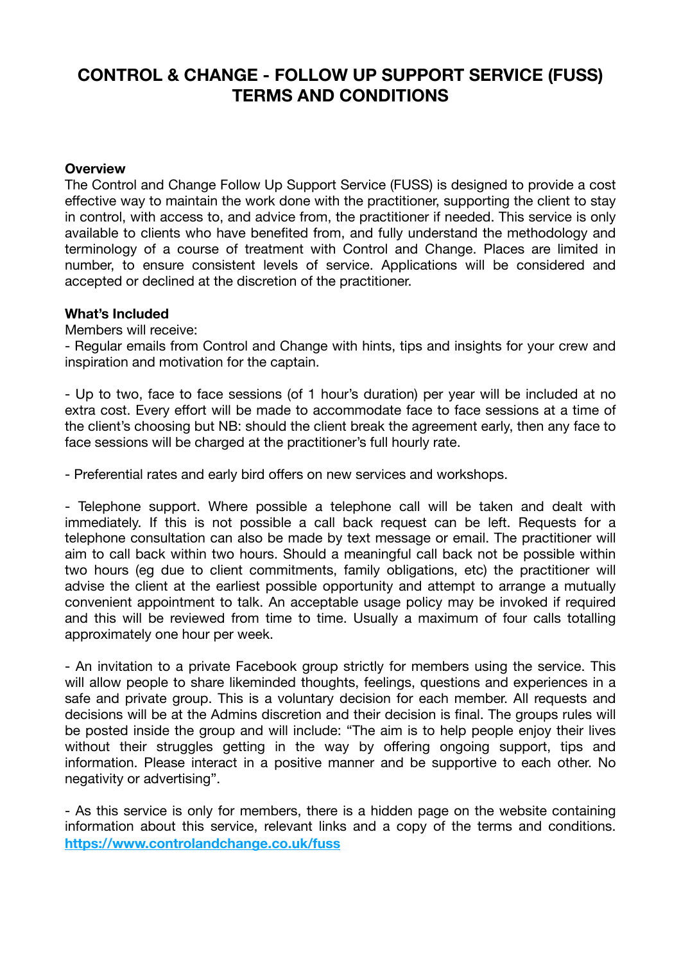# **CONTROL & CHANGE - FOLLOW UP SUPPORT SERVICE (FUSS) TERMS AND CONDITIONS**

# **Overview**

The Control and Change Follow Up Support Service (FUSS) is designed to provide a cost effective way to maintain the work done with the practitioner, supporting the client to stay in control, with access to, and advice from, the practitioner if needed. This service is only available to clients who have benefited from, and fully understand the methodology and terminology of a course of treatment with Control and Change. Places are limited in number, to ensure consistent levels of service. Applications will be considered and accepted or declined at the discretion of the practitioner.

## **What's Included**

Members will receive:

- Regular emails from Control and Change with hints, tips and insights for your crew and inspiration and motivation for the captain.

- Up to two, face to face sessions (of 1 hour's duration) per year will be included at no extra cost. Every effort will be made to accommodate face to face sessions at a time of the client's choosing but NB: should the client break the agreement early, then any face to face sessions will be charged at the practitioner's full hourly rate.

- Preferential rates and early bird offers on new services and workshops.

- Telephone support. Where possible a telephone call will be taken and dealt with immediately. If this is not possible a call back request can be left. Requests for a telephone consultation can also be made by text message or email. The practitioner will aim to call back within two hours. Should a meaningful call back not be possible within two hours (eg due to client commitments, family obligations, etc) the practitioner will advise the client at the earliest possible opportunity and attempt to arrange a mutually convenient appointment to talk. An acceptable usage policy may be invoked if required and this will be reviewed from time to time. Usually a maximum of four calls totalling approximately one hour per week.

- An invitation to a private Facebook group strictly for members using the service. This will allow people to share likeminded thoughts, feelings, questions and experiences in a safe and private group. This is a voluntary decision for each member. All requests and decisions will be at the Admins discretion and their decision is final. The groups rules will be posted inside the group and will include: "The aim is to help people enjoy their lives without their struggles getting in the way by offering ongoing support, tips and information. Please interact in a positive manner and be supportive to each other. No negativity or advertising".

- As this service is only for members, there is a hidden page on the website containing information about this service, relevant links and a copy of the terms and conditions. **<https://www.controlandchange.co.uk/fuss>**